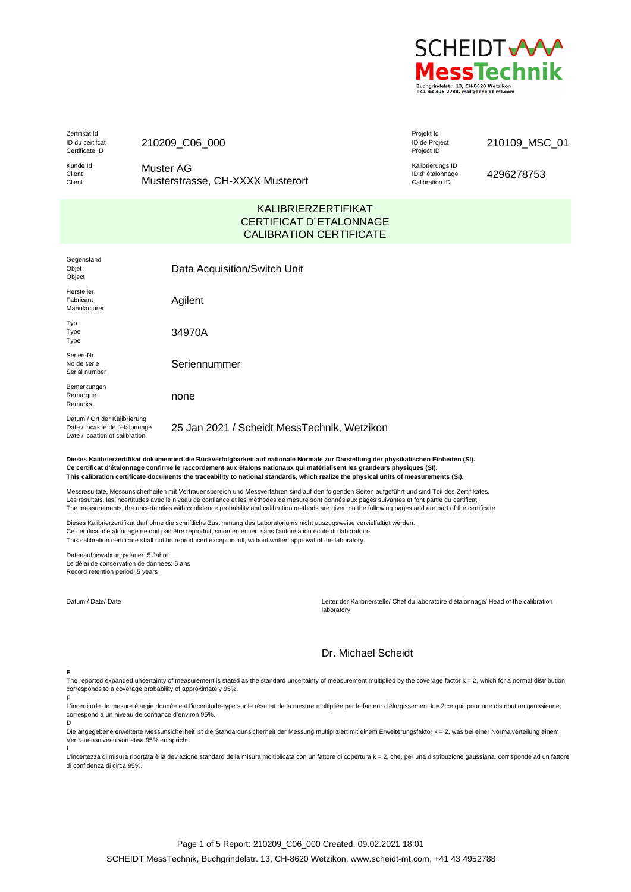

Zertifikat Id ID du certifcat Certificate ID

210209\_C06\_000

Kunde Id Client Client

Muster AG Musterstrasse, CH-XXXX Musterort Projekt Id ID de Project Project ID

## 210109\_MSC\_01

Kalibrierungs ID ID d' étalonnage Calibration ID

4296278753

# KALIBRIERZERTIFIKAT CERTIFICAT D´ETALONNAGE CALIBRATION CERTIFICATE

| Gegenstand<br>Objet<br>Object                                                                     | Data Acquisition/Switch Unit                |
|---------------------------------------------------------------------------------------------------|---------------------------------------------|
| Hersteller<br>Fabricant<br>Manufacturer                                                           | Agilent                                     |
| Typ<br>Type<br>Type                                                                               | 34970A                                      |
| Serien-Nr.<br>No de serie<br>Serial number                                                        | Seriennummer                                |
| Bemerkungen<br>Remarque<br>Remarks                                                                | none                                        |
| Datum / Ort der Kalibrierung<br>Date / locakité de l'étalonnage<br>Date / Icoation of calibration | 25 Jan 2021 / Scheidt MessTechnik, Wetzikon |

**Dieses Kalibrierzertifikat dokumentiert die Rückverfolgbarkeit auf nationale Normale zur Darstellung der physikalischen Einheiten (SI). Ce certificat d'étalonnage confirme le raccordement aux étalons nationaux qui matérialisent les grandeurs physiques (SI). This calibration certificate documents the traceability to national standards, which realize the physical units of measurements (SI).**

Messresultate, Messunsicherheiten mit Vertrauensbereich und Messverfahren sind auf den folgenden Seiten aufgeführt und sind Teil des Zertifikates. Les résultats, les incertitudes avec le niveau de confiance et les méthodes de mesure sont donnés aux pages suivantes et font partie du certificat. The measurements, the uncertainties with confidence probability and calibration methods are given on the following pages and are part of the certificate

Dieses Kalibrierzertifikat darf ohne die schriftliche Zustimmung des Laboratoriums nicht auszugsweise vervielfältigt werden. Ce certificat d'étalonnage ne doit pas être reproduit, sinon en entier, sans l'autorisation écrite du laboratoire. This calibration certificate shall not be reproduced except in full, without written approval of the laboratory.

Datenaufbewahrungsdauer: 5 Jahre Le délai de conservation de données: 5 ans Record retention period: 5 years

Datum / Date/ Date Leiter der Kalibrierstelle/ Chef du laboratoire d'étalonnage/ Head of the calibration laboratory

# Dr. Michael Scheidt

#### **E**

**F**

The reported expanded uncertainty of measurement is stated as the standard uncertainty of measurement multiplied by the coverage factor k = 2, which for a normal distribution corresponds to a coverage probability of approximately 95%.

L'incertitude de mesure élargie donnée est l'incertitude-type sur le résultat de la mesure multipliée par le facteur d'élargissement k = 2 ce qui, pour une distribution gaussienne, correspond à un niveau de confiance d'environ 95%. **D**

Die angegebene erweiterte Messunsicherheit ist die Standardunsicherheit der Messung multipliziert mit einem Erweiterungsfaktor k = 2, was bei einer Normalverteilung einem Vertrauensniveau von etwa 95% entspricht. **I**

L'incertezza di misura riportata è la deviazione standard della misura moltiplicata con un fattore di copertura k = 2, che, per una distribuzione gaussiana, corrisponde ad un fattore di confidenza di circa 95%.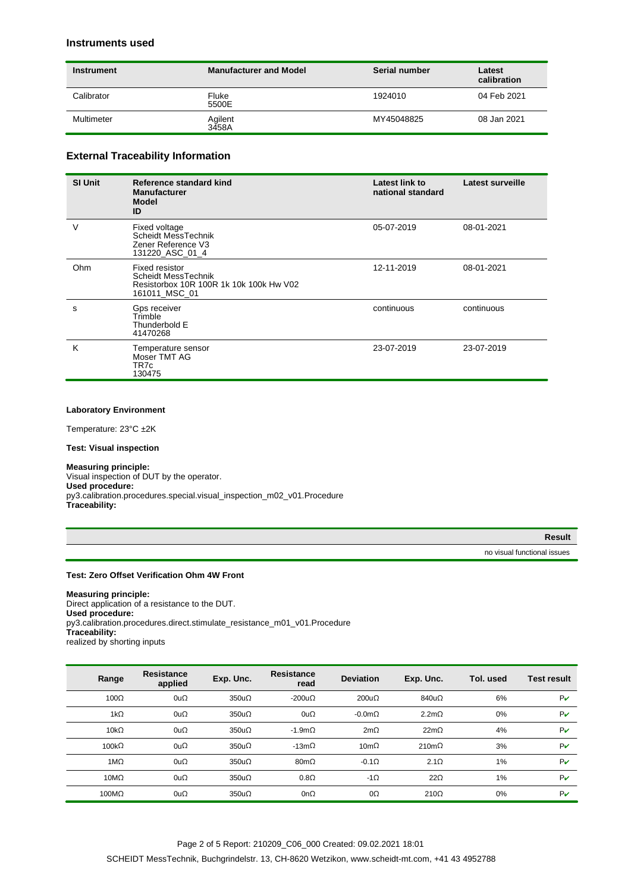# **Instruments used**

| Instrument | <b>Manufacturer and Model</b> | Serial number | Latest<br>calibration |  |
|------------|-------------------------------|---------------|-----------------------|--|
| Calibrator | Fluke<br>5500E                | 1924010       | 04 Feb 2021           |  |
| Multimeter | Agilent<br>3458A              | MY45048825    | 08 Jan 2021           |  |

# **External Traceability Information**

| <b>SI Unit</b> | Reference standard kind<br><b>Manufacturer</b><br>Model<br>ID                                            | Latest link to<br>national standard | <b>Latest surveille</b> |
|----------------|----------------------------------------------------------------------------------------------------------|-------------------------------------|-------------------------|
| v              | Fixed voltage<br>Scheidt MessTechnik<br>Zener Reference V3<br>131220 ASC 01 4                            | 05-07-2019                          | 08-01-2021              |
| Ohm            | <b>Fixed resistor</b><br>Scheidt MessTechnik<br>Resistorbox 10R 100R 1k 10k 100k Hw V02<br>161011 MSC 01 | 12-11-2019                          | 08-01-2021              |
| S              | Gps receiver<br>Trimble<br>Thunderbold E<br>41470268                                                     | continuous                          | continuous              |
| K              | Temperature sensor<br>Moser TMT AG<br>TR7c<br>130475                                                     | 23-07-2019                          | 23-07-2019              |

### **Laboratory Environment**

Temperature: 23°C ±2K

#### **Test: Visual inspection**

## **Measuring principle:**

Visual inspection of DUT by the operator. **Used procedure:** py3.calibration.procedures.special.visual\_inspection\_m02\_v01.Procedure **Traceability:**

| Result |
|--------|

no visual functional issues

## **Test: Zero Offset Verification Ohm 4W Front**

**Measuring principle:** Direct application of a resistance to the DUT. **Used procedure:** py3.calibration.procedures.direct.stimulate\_resistance\_m01\_v01.Procedure **Traceability:** realized by shorting inputs

| Range        | <b>Resistance</b><br>applied | Exp. Unc.    | <b>Resistance</b><br>read | <b>Deviation</b> | Exp. Unc.        | Tol. used | Test result                 |
|--------------|------------------------------|--------------|---------------------------|------------------|------------------|-----------|-----------------------------|
| $100\Omega$  | $0u\Omega$                   | $350u\Omega$ | $-200u\Omega$             | $200u\Omega$     | $840u\Omega$     | 6%        | $P\boldsymbol{\mathcal{V}}$ |
| $1k\Omega$   | $0u\Omega$                   | $350u\Omega$ | 0u $\Omega$               | $-0.0m\Omega$    | $2.2m\Omega$     | 0%        | $P\boldsymbol{\mathcal{V}}$ |
| $10k\Omega$  | $0u\Omega$                   | $350u\Omega$ | $-1.9$ m $\Omega$         | $2m\Omega$       | 22m <sub>2</sub> | 4%        | $P\boldsymbol{\mathcal{V}}$ |
| $100k\Omega$ | $0u\Omega$                   | $350u\Omega$ | -13m $\Omega$             | $10m\Omega$      | $210m\Omega$     | 3%        | $P\boldsymbol{\mathcal{V}}$ |
| $1M\Omega$   | $0u\Omega$                   | $350u\Omega$ | $80 \text{m}$             | $-0.1\Omega$     | $2.1\Omega$      | 1%        | $P\boldsymbol{\nu}$         |
| $10M\Omega$  | $0u\Omega$                   | $350u\Omega$ | $0.8\Omega$               | $-1\Omega$       | $22\Omega$       | 1%        | $P\boldsymbol{\nu}$         |
| $100M\Omega$ | $0u\Omega$                   | $350u\Omega$ | 0n $\Omega$               | $0\Omega$        | $210\Omega$      | 0%        | $P\boldsymbol{\nu}$         |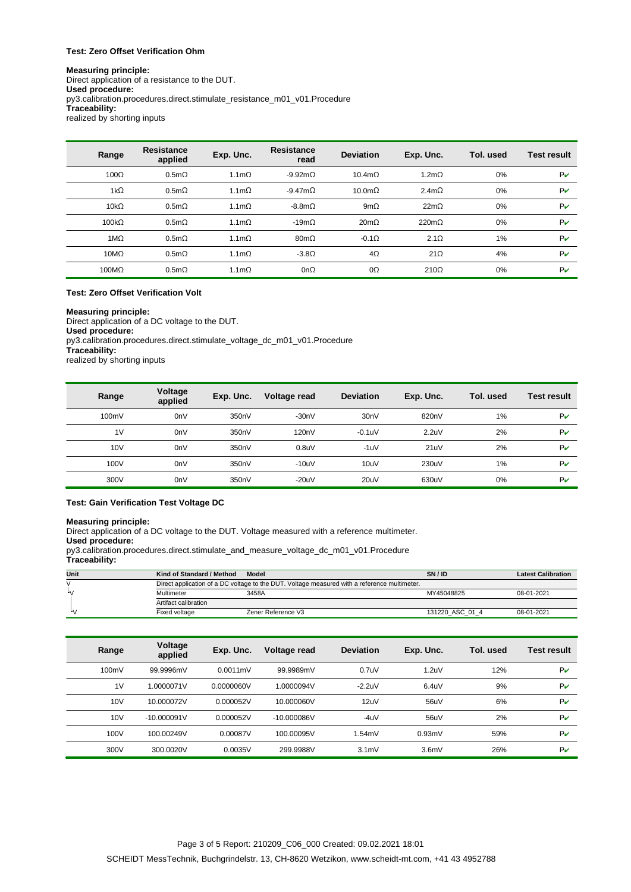### **Test: Zero Offset Verification Ohm**

#### **Measuring principle:** Direct application of a resistance to the DUT. **Used procedure:** py3.calibration.procedures.direct.stimulate\_resistance\_m01\_v01.Procedure **Traceability:** realized by shorting inputs

| Range        | <b>Resistance</b><br>applied | Exp. Unc.        | <b>Resistance</b><br>read | <b>Deviation</b> | Exp. Unc.     | Tol. used | <b>Test result</b>          |
|--------------|------------------------------|------------------|---------------------------|------------------|---------------|-----------|-----------------------------|
| $100\Omega$  | $0.5m\Omega$                 | $1.1m\Omega$     | -9.92m $\Omega$           | $10.4m\Omega$    | $1.2m\Omega$  | 0%        | PV                          |
| $1k\Omega$   | $0.5m\Omega$                 | $1.1m\Omega$     | $-9.47m\Omega$            | $10.0m\Omega$    | 2.4m $\Omega$ | 0%        | PV                          |
| $10k\Omega$  | 0.5m <sub>Q</sub>            | 1.1 <sub>m</sub> | $-8.8m\Omega$             | 9m $\Omega$      | $22m\Omega$   | 0%        | $P\boldsymbol{\mathcal{V}}$ |
| $100k\Omega$ | $0.5m\Omega$                 | $1.1m\Omega$     | -19m $\Omega$             | $20m\Omega$      | $220m\Omega$  | 0%        | PV                          |
| $1M\Omega$   | $0.5m\Omega$                 | $1.1m\Omega$     | $80m\Omega$               | $-0.1\Omega$     | $2.1\Omega$   | 1%        | PV                          |
| $10M\Omega$  | $0.5m\Omega$                 | $1.1m\Omega$     | $-3.8\Omega$              | $4\Omega$        | $21\Omega$    | 4%        | PV                          |
| $100M\Omega$ | $0.5m\Omega$                 | $1.1m\Omega$     | 0n $\Omega$               | $0\Omega$        | $210\Omega$   | 0%        | PV                          |

### **Test: Zero Offset Verification Volt**

# **Measuring principle:**

Direct application of a DC voltage to the DUT. **Used procedure:** py3.calibration.procedures.direct.stimulate\_voltage\_dc\_m01\_v01.Procedure **Traceability:** realized by shorting inputs

| Range | Voltage<br>applied | Exp. Unc. | Voltage read       | <b>Deviation</b>  | Exp. Unc.        | Tol. used | <b>Test result</b>          |
|-------|--------------------|-----------|--------------------|-------------------|------------------|-----------|-----------------------------|
| 100mV | 0 <sub>n</sub>     | 350nV     | $-30nV$            | 30 <sub>n</sub> V | 820nV            | 1%        | $P\boldsymbol{\nu}$         |
| 1V    | 0 <sub>n</sub>     | 350nV     | 120 <sub>n</sub> V | $-0.1$ u $V$      | 2.2 <sub>u</sub> | 2%        | $P\boldsymbol{\mathcal{V}}$ |
| 10V   | 0 <sub>n</sub>     | 350nV     | 0.8 <sub>U</sub>   | $-1uV$            | 21uV             | 2%        | $P\boldsymbol{\nu}$         |
| 100V  | 0 <sub>n</sub>     | 350nV     | $-10uV$            | 10uV              | 230uV            | 1%        | $P\boldsymbol{\nu}$         |
| 300V  | 0 <sub>n</sub>     | 350nV     | $-20uV$            | 20uV              | 630uV            | 0%        | Pv                          |

### **Test: Gain Verification Test Voltage DC**

#### **Measuring principle:**

Direct application of a DC voltage to the DUT. Voltage measured with a reference multimeter.

## **Used procedure:**

py3.calibration.procedures.direct.stimulate\_and\_measure\_voltage\_dc\_m01\_v01.Procedure

# **Traceability:**

| Unit | Kind of Standard / Method                                                                    | Model              | SN / ID         | <b>Latest Calibration</b> |  |  |  |
|------|----------------------------------------------------------------------------------------------|--------------------|-----------------|---------------------------|--|--|--|
|      | Direct application of a DC voltage to the DUT. Voltage measured with a reference multimeter. |                    |                 |                           |  |  |  |
| ι.   | Multimeter                                                                                   | 3458A              | MY45048825      | 08-01-2021                |  |  |  |
|      |                                                                                              |                    |                 |                           |  |  |  |
|      | Fixed voltage                                                                                | Zener Reference V3 | 131220 ASC 01 4 | 08-01-2021                |  |  |  |

| Range | Voltage<br>applied | Exp. Unc.  | Voltage read  | <b>Deviation</b> | Exp. Unc.        | Tol. used | <b>Test result</b>  |
|-------|--------------------|------------|---------------|------------------|------------------|-----------|---------------------|
| 100mV | 99.9996mV          | 0.0011mV   | 99.9989mV     | $0.7$ uV         | 1.2 <sub>u</sub> | 12%       | $P\boldsymbol{\nu}$ |
| 1V    | 1.0000071V         | 0.0000060V | 1.0000094V    | $-2.2$ uV        | $6.4$ uV         | 9%        | $P\boldsymbol{\nu}$ |
| 10V   | 10.000072V         | 0.000052V  | 10.000060V    | 12uV             | 56uV             | 6%        | $P\boldsymbol{\nu}$ |
| 10V   | $-10.000091V$      | 0.000052V  | $-10.000086V$ | $-4UV$           | 56uV             | 2%        | $P\boldsymbol{\nu}$ |
| 100V  | 100.00249V         | 0.00087V   | 100.00095V    | 1,54mV           | 0.93mV           | 59%       | $P\boldsymbol{\nu}$ |
| 300V  | 300.0020V          | 0.0035V    | 299.9988V     | 3.1mV            | 3.6 <sub>m</sub> | 26%       | $P\boldsymbol{\nu}$ |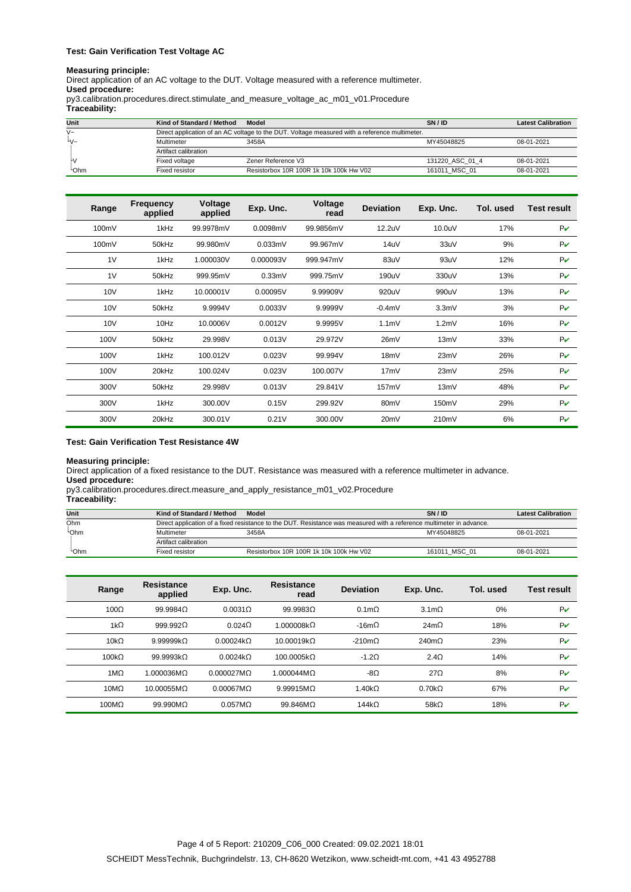## **Test: Gain Verification Test Voltage AC**

#### **Measuring principle:**

Direct application of an AC voltage to the DUT. Voltage measured with a reference multimeter. **Used procedure:**

py3.calibration.procedures.direct.stimulate\_and\_measure\_voltage\_ac\_m01\_v01.Procedure

| Traceability: |  |
|---------------|--|
|---------------|--|

| Unit                      | Kind of Standard / Method                                                                     | Model                                   | SNIID           | <b>Latest Calibration</b> |  |  |  |
|---------------------------|-----------------------------------------------------------------------------------------------|-----------------------------------------|-----------------|---------------------------|--|--|--|
| $\sqrt{2}$                | Direct application of an AC voltage to the DUT. Voltage measured with a reference multimeter. |                                         |                 |                           |  |  |  |
| $\mathsf{L}_{\mathsf{M}}$ | Multimeter                                                                                    | 3458A                                   | MY45048825      | 08-01-2021                |  |  |  |
|                           | Artifact calibration                                                                          |                                         |                 |                           |  |  |  |
|                           | Fixed voltage                                                                                 | Zener Reference V3                      | 131220 ASC 01 4 | 08-01-2021                |  |  |  |
| <b>Ohm</b>                | Fixed resistor                                                                                | Resistorbox 10R 100R 1k 10k 100k Hw V02 | 161011 MSC 01   | 08-01-2021                |  |  |  |

| Range | Frequency<br>applied | Voltage<br>applied | Exp. Unc. | Voltage<br>read | <b>Deviation</b>  | Exp. Unc.        | Tol. used | <b>Test result</b>          |
|-------|----------------------|--------------------|-----------|-----------------|-------------------|------------------|-----------|-----------------------------|
| 100mV | 1kHz                 | 99.9978mV          | 0.0098mV  | 99.9856mV       | 12.2uV            | 10.0uV           | 17%       | $P\mathcal{V}$              |
| 100mV | 50kHz                | 99.980mV           | 0.033mV   | 99.967mV        | 14uV              | 33uV             | 9%        | $P\mathcal{V}$              |
| 1V    | 1kHz                 | 1.000030V          | 0.000093V | 999.947mV       | 83uV              | 93uV             | 12%       | PV                          |
| 1V    | 50kHz                | 999.95mV           | 0.33mV    | 999.75mV        | 190uV             | 330uV            | 13%       | PV                          |
| 10V   | 1kHz                 | 10.00001V          | 0.00095V  | 9.99909V        | 920uV             | 990uV            | 13%       | $P\mathcal{V}$              |
| 10V   | 50kHz                | 9.9994V            | 0.0033V   | 9.9999V         | $-0.4$ mV         | 3.3 <sub>m</sub> | 3%        | $P\boldsymbol{\mathcal{V}}$ |
| 10V   | 10Hz                 | 10.0006V           | 0.0012V   | 9.9995V         | 1.1 <sub>m</sub>  | 1.2 <sub>m</sub> | 16%       | $P\mathcal{V}$              |
| 100V  | 50kHz                | 29.998V            | 0.013V    | 29.972V         | 26mV              | 13mV             | 33%       | $P\mathcal{V}$              |
| 100V  | 1kHz                 | 100.012V           | 0.023V    | 99.994V         | 18mV              | 23mV             | 26%       | PV                          |
| 100V  | 20kHz                | 100.024V           | 0.023V    | 100.007V        | 17mV              | 23mV             | 25%       | $P\mathcal{V}$              |
| 300V  | 50kHz                | 29.998V            | 0.013V    | 29.841V         | 157mV             | 13mV             | 48%       | $P\boldsymbol{\mathcal{V}}$ |
| 300V  | 1kHz                 | 300.00V            | 0.15V     | 299.92V         | 80 <sub>m</sub> V | 150mV            | 29%       | $P\mathcal{V}$              |
| 300V  | 20kHz                | 300.01V            | 0.21V     | 300.00V         | 20mV              | 210mV            | 6%        | $P\mathcal{V}$              |

### **Test: Gain Verification Test Resistance 4W**

### **Measuring principle:**

Direct application of a fixed resistance to the DUT. Resistance was measured with a reference multimeter in advance.

**Used procedure:**

py3.calibration.procedures.direct.measure\_and\_apply\_resistance\_m01\_v02.Procedure

**Traceability:**

| Unit       | Kind of Standard / Method                                                                                            | Model                                   | SN / ID       | <b>Latest Calibration</b> |  |  |  |
|------------|----------------------------------------------------------------------------------------------------------------------|-----------------------------------------|---------------|---------------------------|--|--|--|
| Ohm        | Direct application of a fixed resistance to the DUT. Resistance was measured with a reference multimeter in advance. |                                         |               |                           |  |  |  |
| <b>Chm</b> | Multimeter                                                                                                           | 3458A                                   |               | 08-01-2021                |  |  |  |
|            | Artifact calibration                                                                                                 |                                         |               |                           |  |  |  |
| <b>Chm</b> | Fixed resistor                                                                                                       | Resistorbox 10R 100R 1k 10k 100k Hw V02 | 161011 MSC 01 | 08-01-2021                |  |  |  |

| Range            | Resistance<br>applied | Exp. Unc.          | Resistance<br>read     | <b>Deviation</b> | Exp. Unc.          | Tol. used | <b>Test result</b>          |
|------------------|-----------------------|--------------------|------------------------|------------------|--------------------|-----------|-----------------------------|
| 100 <sub>Q</sub> | 99.99840              | $0.0031$ $\Omega$  | 99.99830               | 0.1 <sub>m</sub> | 3.1 <sub>m</sub>   | 0%        | $P\boldsymbol{\mathcal{V}}$ |
| $1k\Omega$       | 999.9920              | 0.024 <sub>O</sub> | 1.000008kQ             | $-16m\Omega$     | $24m\Omega$        | 18%       | $P\boldsymbol{\mathcal{V}}$ |
| $10k\Omega$      | 9.9999980             | 0.00024k           | 10.00019kQ             | $-210mQ$         | 240m <sub>2</sub>  | 23%       | $P\boldsymbol{\mathcal{V}}$ |
| $100k\Omega$     | 99.9993kQ             | 0.0024kO           | 100.0005kQ             | $-1.2$           | 2.4 <sub>2</sub>   | 14%       | $P\boldsymbol{\mathcal{V}}$ |
| $1M\Omega$       | 1.000036MQ            | $0.000027M\Omega$  | 1.000044M <sub>Q</sub> | -8Ω              | $27\Omega$         | 8%        | $P\boldsymbol{\mathcal{V}}$ |
| $10M\Omega$      | 10.00055MQ            | 0.00067MO          | $9.99915M\Omega$       | $1.40k\Omega$    | 0.70k <sub>O</sub> | 67%       | $P\boldsymbol{\mathcal{V}}$ |
| 100MQ            | 99.990MQ              | 0.057MO            | 99.846MQ               | $144k\Omega$     | 58 $k\Omega$       | 18%       | $P\boldsymbol{\nu}$         |